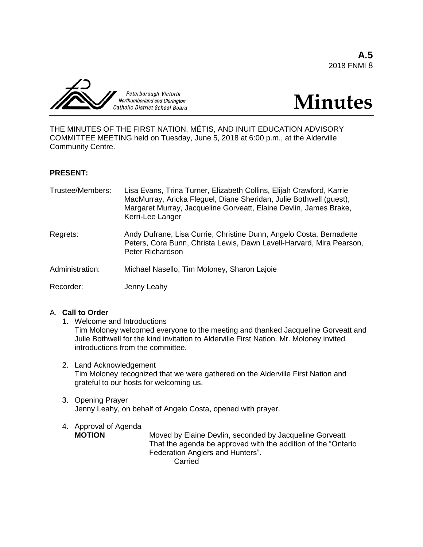**A.5** 2018 FNMI 8





THE MINUTES OF THE FIRST NATION, MÉTIS, AND INUIT EDUCATION ADVISORY COMMITTEE MEETING held on Tuesday, June 5, 2018 at 6:00 p.m., at the Alderville Community Centre.

## **PRESENT:**

| Trustee/Members: | Lisa Evans, Trina Turner, Elizabeth Collins, Elijah Crawford, Karrie<br>MacMurray, Aricka Fleguel, Diane Sheridan, Julie Bothwell (guest),<br>Margaret Murray, Jacqueline Gorveatt, Elaine Devlin, James Brake,<br>Kerri-Lee Langer |
|------------------|-------------------------------------------------------------------------------------------------------------------------------------------------------------------------------------------------------------------------------------|
| Regrets:         | Andy Dufrane, Lisa Currie, Christine Dunn, Angelo Costa, Bernadette<br>Peters, Cora Bunn, Christa Lewis, Dawn Lavell-Harvard, Mira Pearson,<br>Peter Richardson                                                                     |
| Administration:  | Michael Nasello, Tim Moloney, Sharon Lajoie                                                                                                                                                                                         |
| Recorder:        | Jenny Leahy                                                                                                                                                                                                                         |

## A. **Call to Order**

- 1. Welcome and Introductions Tim Moloney welcomed everyone to the meeting and thanked Jacqueline Gorveatt and Julie Bothwell for the kind invitation to Alderville First Nation. Mr. Moloney invited introductions from the committee.
- 2. Land Acknowledgement Tim Moloney recognized that we were gathered on the Alderville First Nation and grateful to our hosts for welcoming us.
- 3. Opening Prayer Jenny Leahy, on behalf of Angelo Costa, opened with prayer.

# 4. Approval of Agenda<br> **MOTION**

Moved by Elaine Devlin, seconded by Jacqueline Gorveatt That the agenda be approved with the addition of the "Ontario Federation Anglers and Hunters". Carried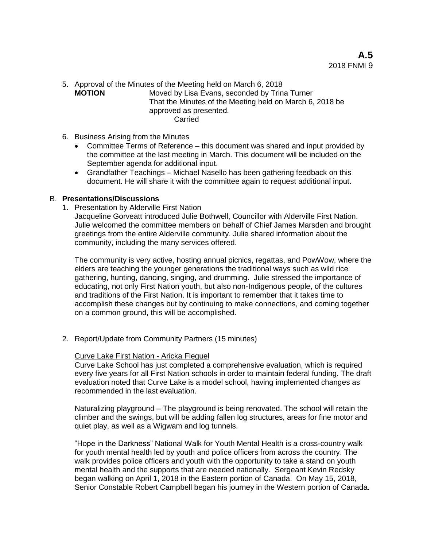5. Approval of the Minutes of the Meeting held on March 6, 2018

**MOTION** Moved by Lisa Evans, seconded by Trina Turner That the Minutes of the Meeting held on March 6, 2018 be approved as presented. **Carried** 

- 6. Business Arising from the Minutes
	- Committee Terms of Reference this document was shared and input provided by the committee at the last meeting in March. This document will be included on the September agenda for additional input.
	- Grandfather Teachings Michael Nasello has been gathering feedback on this document. He will share it with the committee again to request additional input.

## B. **Presentations/Discussions**

1. Presentation by Alderville First Nation

Jacqueline Gorveatt introduced Julie Bothwell, Councillor with Alderville First Nation. Julie welcomed the committee members on behalf of Chief James Marsden and brought greetings from the entire Alderville community. Julie shared information about the community, including the many services offered.

The community is very active, hosting annual picnics, regattas, and PowWow, where the elders are teaching the younger generations the traditional ways such as wild rice gathering, hunting, dancing, singing, and drumming. Julie stressed the importance of educating, not only First Nation youth, but also non-Indigenous people, of the cultures and traditions of the First Nation. It is important to remember that it takes time to accomplish these changes but by continuing to make connections, and coming together on a common ground, this will be accomplished.

2. Report/Update from Community Partners (15 minutes)

#### Curve Lake First Nation - Aricka Fleguel

Curve Lake School has just completed a comprehensive evaluation, which is required every five years for all First Nation schools in order to maintain federal funding. The draft evaluation noted that Curve Lake is a model school, having implemented changes as recommended in the last evaluation.

Naturalizing playground – The playground is being renovated. The school will retain the climber and the swings, but will be adding fallen log structures, areas for fine motor and quiet play, as well as a Wigwam and log tunnels.

"Hope in the Darkness" National Walk for Youth Mental Health is a cross-country walk for youth mental health led by youth and police officers from across the country. The walk provides police officers and youth with the opportunity to take a stand on youth mental health and the supports that are needed nationally. Sergeant Kevin Redsky began walking on April 1, 2018 in the Eastern portion of Canada. On May 15, 2018, Senior Constable Robert Campbell began his journey in the Western portion of Canada.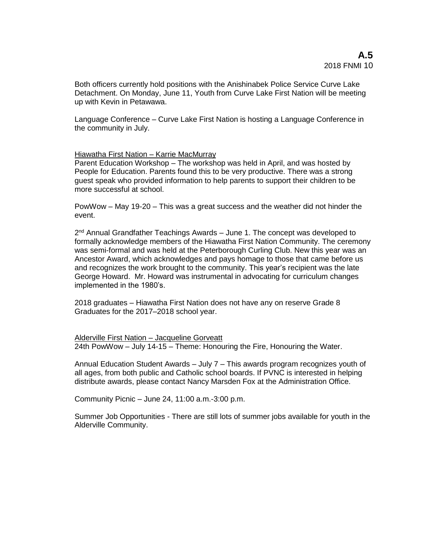Both officers currently hold positions with the Anishinabek Police Service Curve Lake Detachment. On Monday, June 11, Youth from Curve Lake First Nation will be meeting up with Kevin in Petawawa.

Language Conference – Curve Lake First Nation is hosting a Language Conference in the community in July.

## Hiawatha First Nation – Karrie MacMurray

Parent Education Workshop – The workshop was held in April, and was hosted by People for Education. Parents found this to be very productive. There was a strong guest speak who provided information to help parents to support their children to be more successful at school.

PowWow – May 19-20 – This was a great success and the weather did not hinder the event.

2<sup>nd</sup> Annual Grandfather Teachings Awards – June 1. The concept was developed to formally acknowledge members of the Hiawatha First Nation Community. The ceremony was semi-formal and was held at the Peterborough Curling Club. New this year was an Ancestor Award, which acknowledges and pays homage to those that came before us and recognizes the work brought to the community. This year's recipient was the late George Howard. Mr. Howard was instrumental in advocating for curriculum changes implemented in the 1980's.

2018 graduates – Hiawatha First Nation does not have any on reserve Grade 8 Graduates for the 2017–2018 school year.

Alderville First Nation – Jacqueline Gorveatt 24th PowWow – July 14-15 – Theme: Honouring the Fire, Honouring the Water.

Annual Education Student Awards – July 7 – This awards program recognizes youth of all ages, from both public and Catholic school boards. If PVNC is interested in helping distribute awards, please contact Nancy Marsden Fox at the Administration Office.

Community Picnic – June 24, 11:00 a.m.-3:00 p.m.

Summer Job Opportunities - There are still lots of summer jobs available for youth in the Alderville Community.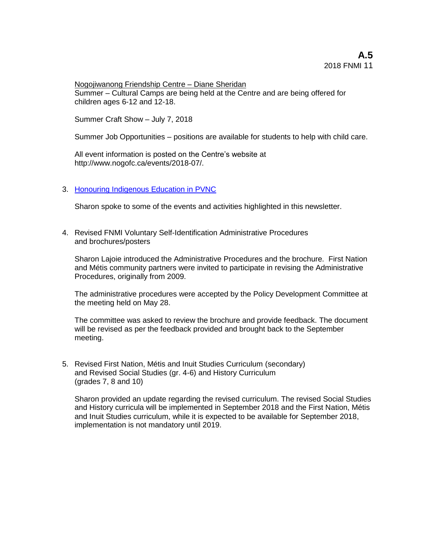Nogojiwanong Friendship Centre – Diane Sheridan Summer – Cultural Camps are being held at the Centre and are being offered for children ages 6-12 and 12-18.

Summer Craft Show – July 7, 2018

Summer Job Opportunities – positions are available for students to help with child care.

All event information is posted on the Centre's website at http://www.nogofc.ca/events/2018-07/.

## 3. Honouring [Indigenous Education in PVNC](https://spark.adobe.com/page/e0Lla2P5gwUsq/)

Sharon spoke to some of the events and activities highlighted in this newsletter.

4. Revised FNMI Voluntary Self-Identification Administrative Procedures and brochures/posters

Sharon Lajoie introduced the Administrative Procedures and the brochure. First Nation and Métis community partners were invited to participate in revising the Administrative Procedures, originally from 2009.

The administrative procedures were accepted by the Policy Development Committee at the meeting held on May 28.

The committee was asked to review the brochure and provide feedback. The document will be revised as per the feedback provided and brought back to the September meeting.

5. Revised First Nation, Métis and Inuit Studies Curriculum (secondary) and Revised Social Studies (gr. 4-6) and History Curriculum (grades 7, 8 and 10)

Sharon provided an update regarding the revised curriculum. The revised Social Studies and History curricula will be implemented in September 2018 and the First Nation, Métis and Inuit Studies curriculum, while it is expected to be available for September 2018, implementation is not mandatory until 2019.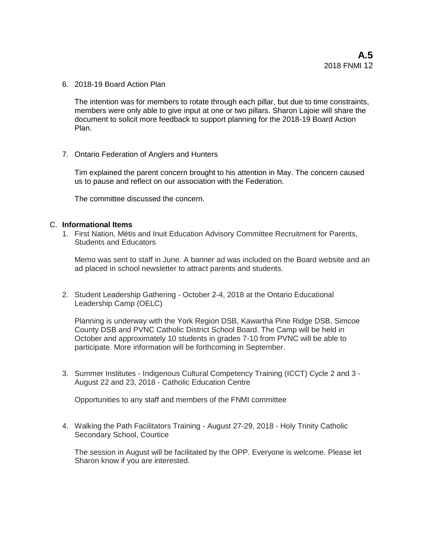6. 2018-19 Board Action Plan

The intention was for members to rotate through each pillar, but due to time constraints, members were only able to give input at one or two pillars. Sharon Lajoie will share the document to solicit more feedback to support planning for the 2018-19 Board Action Plan.

7. Ontario Federation of Anglers and Hunters

Tim explained the parent concern brought to his attention in May. The concern caused us to pause and reflect on our association with the Federation.

The committee discussed the concern.

#### C. **Informational Items**

1. First Nation, Métis and Inuit Education Advisory Committee Recruitment for Parents, Students and Educators

Memo was sent to staff in June. A banner ad was included on the Board website and an ad placed in school newsletter to attract parents and students.

2. Student Leadership Gathering - October 2-4, 2018 at the Ontario Educational Leadership Camp (OELC)

Planning is underway with the York Region DSB, Kawartha Pine Ridge DSB, Simcoe County DSB and PVNC Catholic District School Board. The Camp will be held in October and approximately 10 students in grades 7-10 from PVNC will be able to participate. More information will be forthcoming in September.

3. Summer Institutes - Indigenous Cultural Competency Training (ICCT) Cycle 2 and 3 - August 22 and 23, 2018 - Catholic Education Centre

Opportunities to any staff and members of the FNMI committee

4. Walking the Path Facilitators Training - August 27-29, 2018 - Holy Trinity Catholic Secondary School, Courtice

The session in August will be facilitated by the OPP. Everyone is welcome. Please let Sharon know if you are interested.